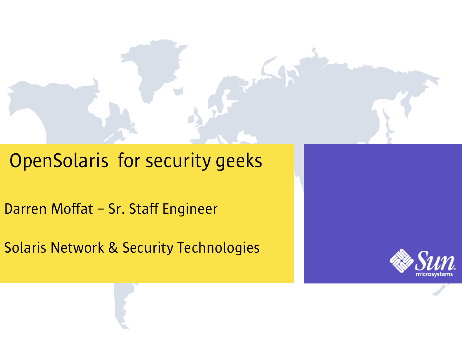#### OpenSolaris for security geeks

Darren Moffat – Sr. Staff Engineer

Solaris Network & Security Technologies

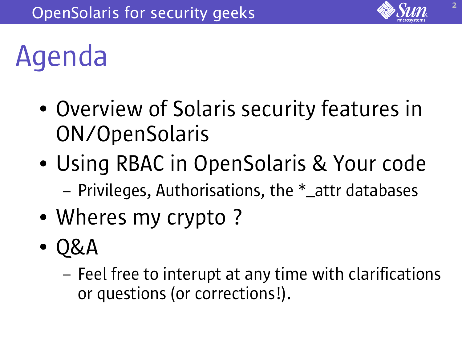

### Agenda

- Overview of Solaris security features in ON/OpenSolaris
- Using RBAC in OpenSolaris & Your code – Privileges, Authorisations, the \*\_attr databases
- Wheres my crypto?
- Q&A
	- Feel free to interupt at any time with clarifications or questions (or corrections!).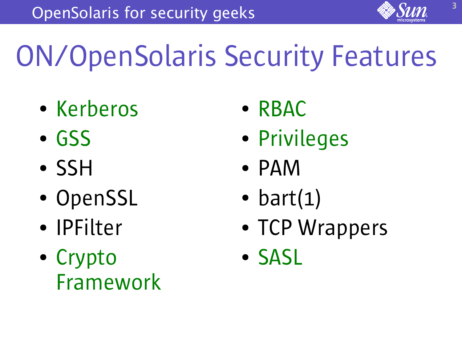

# ON/OpenSolaris Security Features

- Kerberos
- GSS
- SSH
- OpenSSL
- IPFilter
- Crypto Framework
- RBAC
- Privileges
- PAM
- bart $(1)$
- TCP Wrappers
- SASL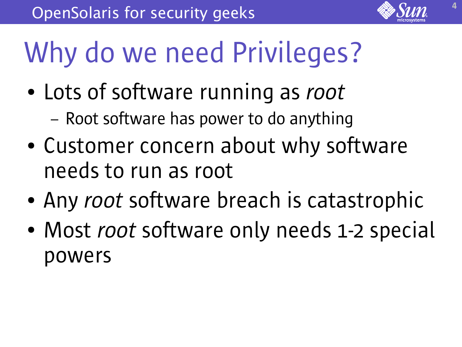

### Why do we need Privileges?

- Lots of software running as *root* 
	- Root software has power to do anything
- Customer concern about why software needs to run as root
- Any *root* software breach is catastrophic
- Most *root* software only needs 1-2 special powers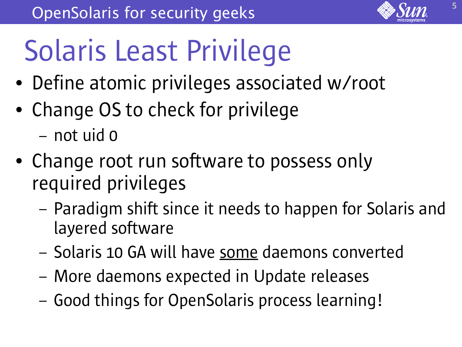

# Solaris Least Privilege

- Define atomic privileges associated w/root
- Change OS to check for privilege
	- not uid 0
- Change root run software to possess only required privileges
	- Paradigm shift since it needs to happen for Solaris and layered software
	- Solaris 10 GA will have some daemons converted
	- More daemons expected in Update releases
	- Good things for OpenSolaris process learning!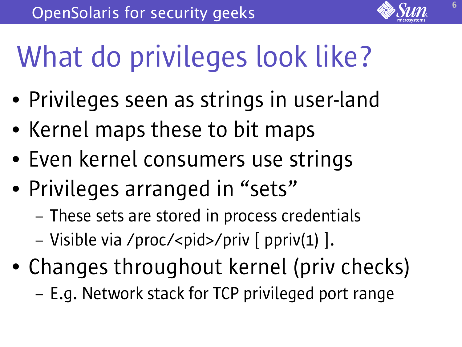

# What do privileges look like?

- Privileges seen as strings in user-land
- Kernel maps these to bit maps
- Even kernel consumers use strings
- Privileges arranged in "sets"
	- These sets are stored in process credentials
	- Visible via /proc/<pid>/priv [ ppriv(1) ].
- Changes throughout kernel (priv checks)
	- E.g. Network stack for TCP privileged port range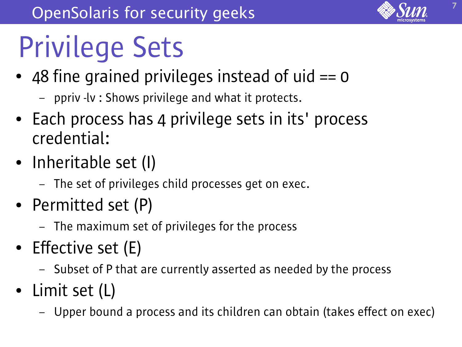## Privilege Sets

- $\bullet$  48 fine grained privileges instead of uid  $== 0$ 
	- ppriv -lv : Shows privilege and what it protects.
- Each process has 4 privilege sets in its' process credential:
- Inheritable set (I)
	- The set of privileges child processes get on exec.
- Permitted set (P)
	- The maximum set of privileges for the process
- Effective set (E)
	- Subset of P that are currently asserted as needed by the process
- Limit set (L)
	- Upper bound a process and its children can obtain (takes effect on exec)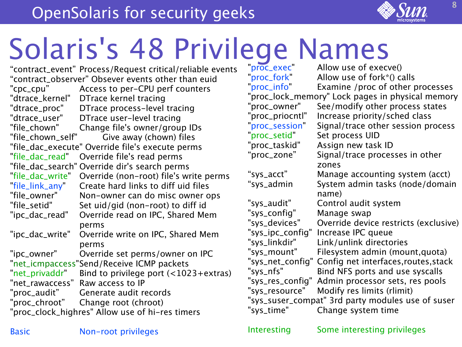# Solaris's 48 Privilege Names

"contract\_event" Process/Request critical/reliable events "contract\_observer" Obsever events other than euid "cpc\_cpu" Access to per-CPU perf counters "dtrace\_kernel" DTrace kernel tracing "dtrace\_proc" DTrace process-level tracing "dtrace\_user" DTrace user-level tracing "file\_chown" Change file's owner/group IDs "file\_chown\_self" Give away (chown) files "file\_dac\_execute" Override file's execute perms "file\_dac\_read" Override file's read perms "file\_dac\_search" Override dir's search perms "file\_dac\_write" Override (non-root) file's write perms "file\_link\_any" Create hard links to diff uid files "file\_owner" Non-owner can do misc owner ops "file\_setid" Set uid/gid (non-root) to diff id "ipc\_dac\_read" Override read on IPC, Shared Mem perms "ipc\_dac\_write" Override write on IPC, Shared Mem perms "ipc\_owner" Override set perms/owner on IPC "net\_icmpaccess"Send/Receive ICMP packets "net\_privaddr" Bind to privilege port (<1023+extras) "net\_rawaccess" Raw access to IP "proc\_audit" Generate audit records "proc\_chroot" Change root (chroot) "proc\_clock\_highres" Allow use of hi-res timers

"proc\_exec" Allow use of execve()<br>"proc\_fork" Allow use of fork\*() c Allow use of fork $*($ ) calls "proc\_info" Examine /proc of other processes "proc\_lock\_memory" Lock pages in physical memory "proc\_owner" See/modify other process states "proc\_priocntl" Increase priority/sched class "proc\_session" Signal/trace other session process "proc\_setid" Set process UID "proc\_taskid" Assign new task ID "proc\_zone" Signal/trace processes in other zones "sys\_acct" Manage accounting system (acct) "sys\_admin System admin tasks (node/domain name) "sys\_audit" Control audit system "sys\_config" Manage swap "sys\_devices" Override device restricts (exclusive) "sys\_ipc\_config" Increase IPC queue "sys\_linkdir" Link/unlink directories "sys\_mount" Filesystem admin (mount,quota) "sys\_net\_config" Config net interfaces,routes,stack "sys\_nfs" Bind NFS ports and use syscalls "sys\_res\_config" Admin processor sets, res pools "sys\_resource" Modify res limits (rlimit) "sys\_suser\_compat" 3rd party modules use of suser "sys\_time" Change system time

Basic Mon-root privileges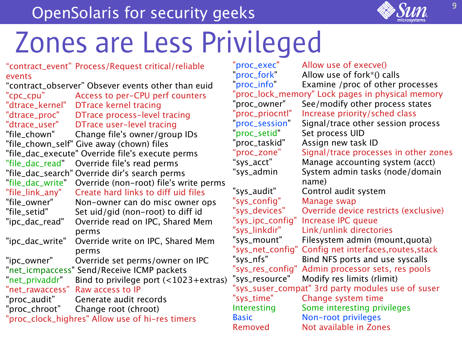#### OpenSolaris for security geeks



"contract\_event" Process/Request critical/reliable events "contract\_observer" Obsever events other than euid "cpc\_cpu" Access to per-CPU perf counters "dtrace\_kernel" DTrace kernel tracing "dtrace\_proc" DTrace process-level tracing "dtrace\_user" DTrace user-level tracing "file\_chown" Change file's owner/group IDs "file\_chown\_self" Give away (chown) files "file\_dac\_execute" Override file's execute perms "file\_dac\_read" Override file's read perms "file\_dac\_search" Override dir's search perms "file\_dac\_write" Override (non-root) file's write perms "file\_link\_any" Create hard links to diff uid files "file\_owner" Non-owner can do misc owner ops "file\_setid" Set uid/gid (non-root) to diff id "ipc\_dac\_read" Override read on IPC, Shared Mem perms "ipc\_dac\_write" Override write on IPC, Shared Mem perms "ipc\_owner" Override set perms/owner on IPC "net\_icmpaccess" Send/Receive ICMP packets "net\_privaddr" Bind to privilege port  $($  < 1023+extras) "net\_rawaccess" Raw access to IP "proc\_audit" Generate audit records "proc\_chroot" Change root (chroot) "proc\_clock\_highres" Allow use of hi-res timers "proc\_exec" Allow use of execve()<br>"proc\_fork" Allow use of fork\*() ca Allow use of fork $*($ ) calls "proc\_info" Examine /proc of other processes "proc\_lock\_memory" Lock pages in physical memory "proc\_owner" See/modify other process states "proc\_priocntl" Increase priority/sched class "proc\_session" Signal/trace other session process "proc\_setid" Set process UID "proc\_taskid" Assign new task ID "proc\_zone" Signal/trace processes in other zones "sys\_acct" Manage accounting system (acct) "sys\_admin System admin tasks (node/domain name) "sys\_audit" Control audit system "sys\_config" Manage swap "sys\_devices" Override device restricts (exclusive) "sys\_ipc\_config" Increase IPC queue "sys\_linkdir" Link/unlink directories "sys\_mount" Filesystem admin (mount,quota) "sys\_net\_config" Config net interfaces,routes,stack "sys\_nfs" Bind NFS ports and use syscalls "sys\_res\_config" Admin processor sets, res pools "sys\_resource" Modify res limits (rlimit) "sys\_suser\_compat" 3rd party modules use of suser "sys\_time" Change system time Interesting Some interesting privileges Basic Non-root privileges Removed Not available in Zones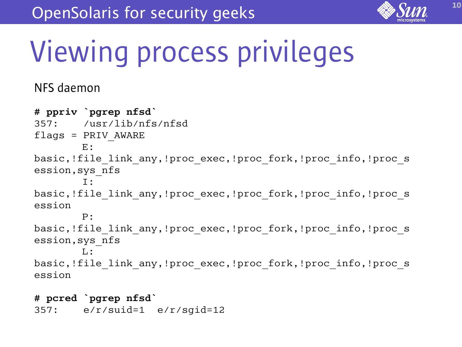

### Viewing process privileges

#### NFS daemon

```
# ppriv `pgrep nfsd`
357: /usr/lib/nfs/nfsd
flags = PRIV AWARE
         E: 
basic,!file link any,!proc exec,!proc fork,!proc info,!proc s
ession,sys_nfs
         I: 
basic, !file link any, !proc exec, !proc fork, !proc info, !proc s
ession
         P: 
basic,!file link any,!proc exec,!proc fork,!proc info,!proc s
ession,sys_nfs
         L: 
basic, !file link any, !proc exec, !proc fork, !proc info, !proc s
ession
```
#### **# pcred `pgrep nfsd`**

357: e/r/suid=1 e/r/sgid=12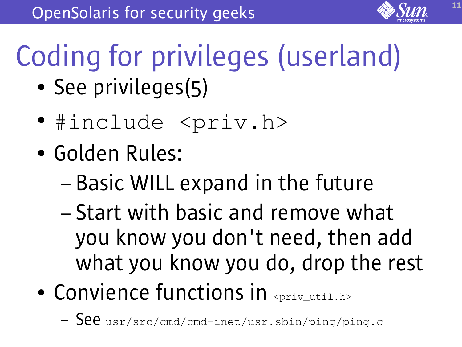# Coding for privileges (userland)

- See privileges(5)
- #include <priv.h>
- Golden Rules:
	- Basic WILL expand in the future
	- Start with basic and remove what you know you don't need, then add what you know you do, drop the rest
- Convience functions in  $\epsilon_{\text{priv\_util.h>}}$ 
	- See usr/src/cmd/cmd-inet/usr.sbin/ping/ping.c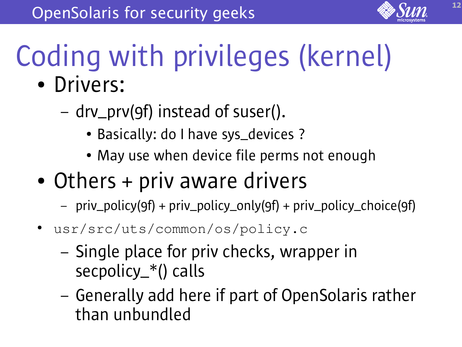

# Coding with privileges (kernel)

- Drivers:
	- drv\_prv(9f) instead of suser().
		- Basically: do I have sys\_devices ?
		- May use when device file perms not enough
- Others + priv aware drivers
	- priv\_policy(9f) + priv\_policy\_only(9f) + priv\_policy\_choice(9f)
- usr/src/uts/common/os/policy.c
	- Single place for priv checks, wrapper in secpolicy\_\*() calls
	- Generally add here if part of OpenSolaris rather than unbundled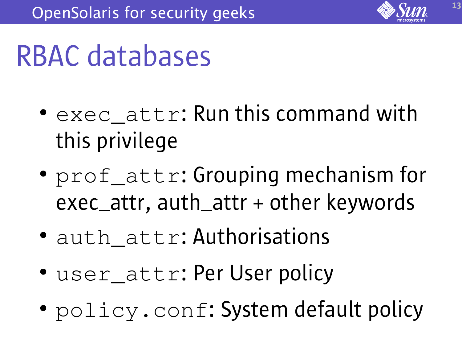

#### RBAC databases

- exec attr: Run this command with this privilege
- prof\_attr: Grouping mechanism for exec\_attr, auth\_attr + other keywords
- auth attr: Authorisations
- user\_attr: Per User policy
- policy.conf: System default policy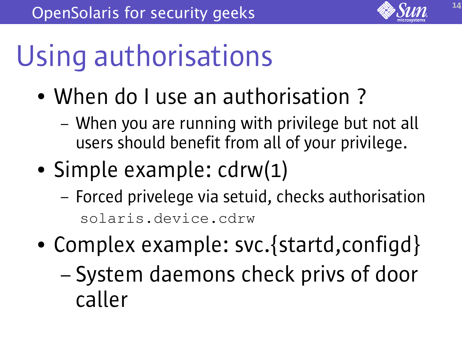

## Using authorisations

- When do I use an authorisation?
	- When you are running with privilege but not all users should benefit from all of your privilege.
- Simple example: cdrw(1)
	- Forced privelege via setuid, checks authorisation solaris.device.cdrw
- Complex example: svc.{startd,configd}
	- System daemons check privs of door caller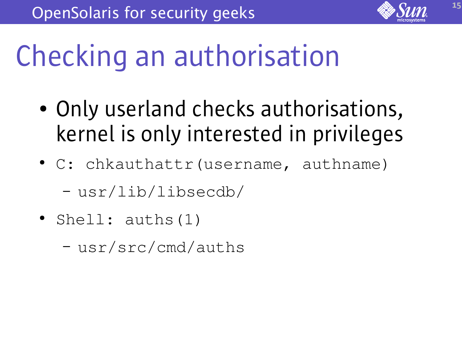

### Checking an authorisation

- Only userland checks authorisations, kernel is only interested in privileges
- C: chkauthattr(username, authname) – usr/lib/libsecdb/
- Shell:  $auths(1)$ 
	- usr/src/cmd/auths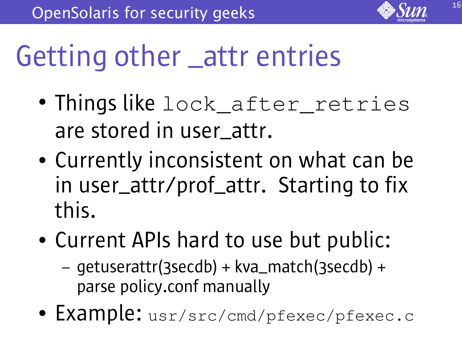

#### Getting other \_attr entries

- Things like lock\_after\_retries are stored in user\_attr.
- Currently inconsistent on what can be in user\_attr/prof\_attr. Starting to fix this.
- Current APIs hard to use but public:
	- getuserattr(3secdb) + kva\_match(3secdb) + parse policy.conf manually
- Example: usr/src/cmd/pfexec/pfexec.c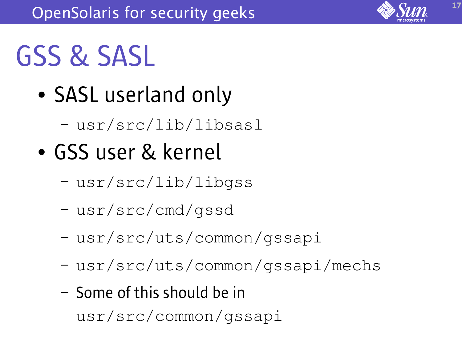

#### GSS & SASL

- SASL userland only
	- usr/src/lib/libsasl
- GSS user & kernel
	- usr/src/lib/libgss
	- usr/src/cmd/gssd
	- usr/src/uts/common/gssapi
	- usr/src/uts/common/gssapi/mechs
	- Some of this should be in usr/src/common/gssapi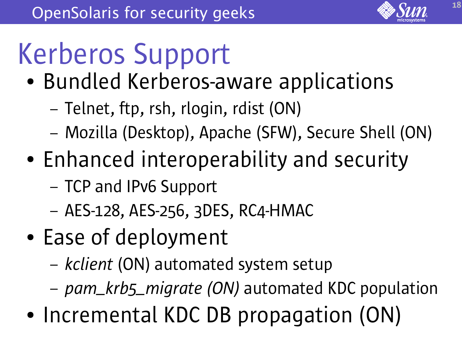

# Kerberos Support

- Bundled Kerberos-aware applications
	- Telnet, ftp, rsh, rlogin, rdist (ON)
	- Mozilla (Desktop), Apache (SFW), Secure Shell (ON)
- Enhanced interoperability and security
	- TCP and IPv6 Support
	- AES-128, AES-256, 3DES, RC4-HMAC
- Ease of deployment
	- *kclient* (ON) automated system setup
	- *pam\_krb5\_migrate (ON)* automated KDC population
- Incremental KDC DB propagation (ON)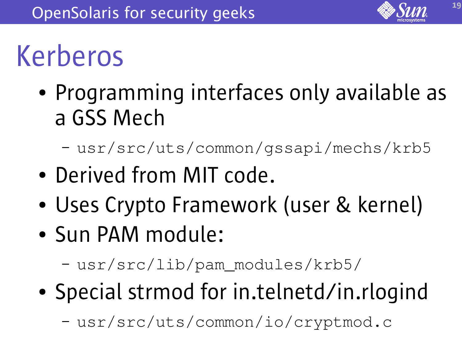

#### Kerberos

- Programming interfaces only available as a GSS Mech
	- usr/src/uts/common/gssapi/mechs/krb5
- Derived from MIT code.
- Uses Crypto Framework (user & kernel)
- Sun PAM module:

– usr/src/lib/pam\_modules/krb5/

• Special strmod for in.telnetd/in.rlogind

– usr/src/uts/common/io/cryptmod.c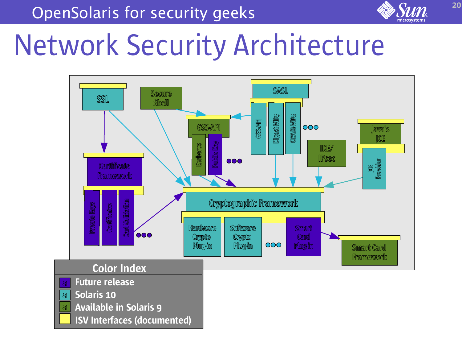OpenSolaris for security geeks



20

#### Network Security Architecture

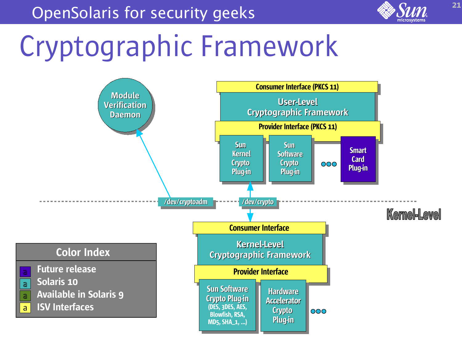

### Cryptographic Framework

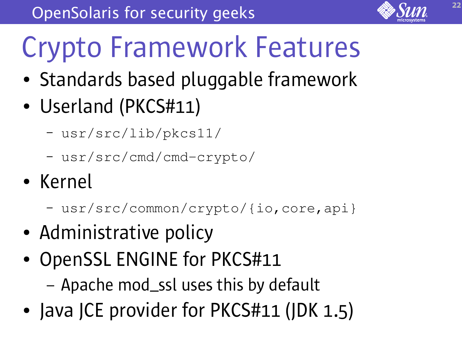## Crypto Framework Features

- Standards based pluggable framework
- Userland (PKCS#11)
	- usr/src/lib/pkcs11/
	- usr/src/cmd/cmd-crypto/
- Kernel
	- usr/src/common/crypto/{io,core,api}
- Administrative policy
- OpenSSL ENGINE for PKCS#11
	- Apache mod\_ssl uses this by default
- Java JCE provider for PKCS#11 (JDK 1.5)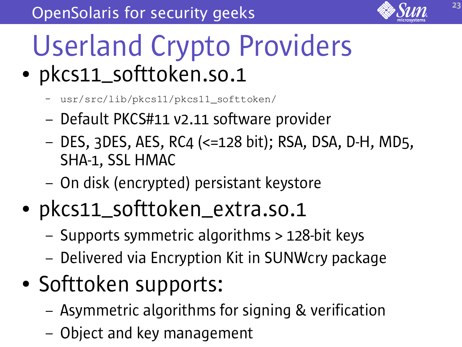

#### Userland Crypto Providers • pkcs11\_softtoken.so.1

- usr/src/lib/pkcs11/pkcs11\_softtoken/
- Default PKCS#11 v2.11 software provider
- DES, 3DES, AES, RC4 (<=128 bit); RSA, DSA, D-H, MD5, SHA-1, SSL HMAC
- On disk (encrypted) persistant keystore
- pkcs11\_softtoken\_extra.so.1
	- Supports symmetric algorithms > 128-bit keys
	- Delivered via Encryption Kit in SUNWcry package
- Softtoken supports:
	- Asymmetric algorithms for signing & verification
	- Object and key management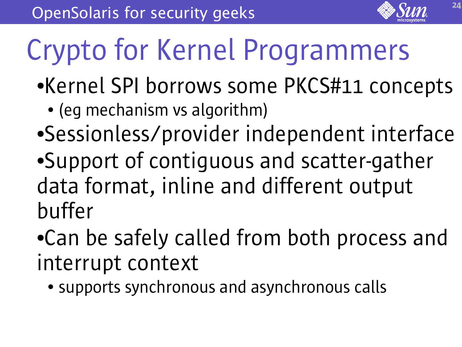## Crypto for Kernel Programmers

- ●Kernel SPI borrows some PKCS#11 concepts
	- (eq mechanism vs algorithm)
- Sessionless/provider independent interface
- ●Support of contiguous and scatter-gather data format, inline and different output buffer
- ●Can be safely called from both process and interrupt context
	- supports synchronous and asynchronous calls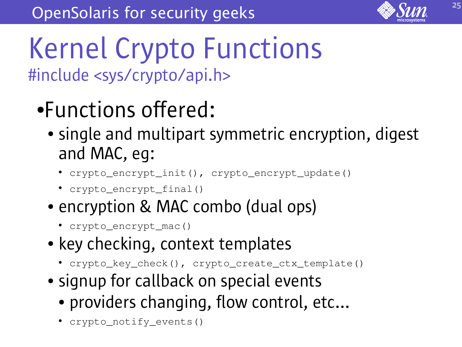

#### Kernel Crypto Functions #include <sys/crypto/api.h>

- ●Functions offered:
	- single and multipart symmetric encryption, digest and MAC, eg:
		- crypto\_encrypt\_init(), crypto\_encrypt\_update()
		- crypto\_encrypt\_final()
	- encryption & MAC combo (dual ops)
		- crypto\_encrypt\_mac()
	- key checking, context templates
		- crypto\_key\_check(), crypto\_create\_ctx\_template()
	- signup for callback on special events
		- providers changing, flow control, etc...
		- crypto\_notify\_events()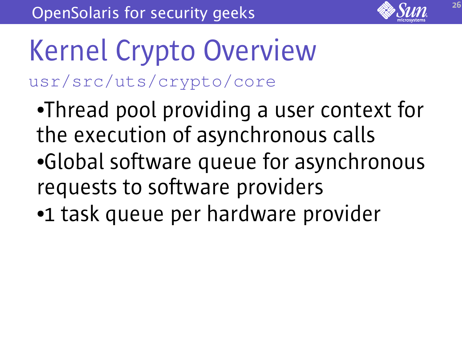

Kernel Crypto Overview usr/src/uts/crypto/core

- ●Thread pool providing a user context for the execution of asynchronous calls ●Global software queue for asynchronous requests to software providers
- ●1 task queue per hardware provider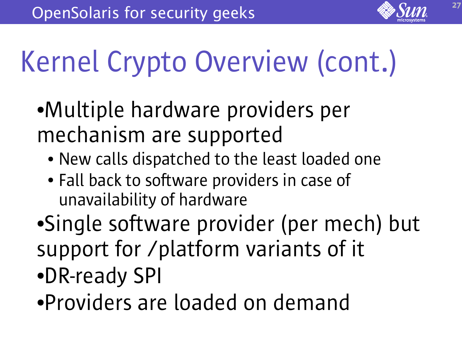# Kernel Crypto Overview (cont.)

- ●Multiple hardware providers per mechanism are supported
	- New calls dispatched to the least loaded one
	- Fall back to software providers in case of unavailability of hardware
- Single software provider (per mech) but support for /platform variants of it ●DR-ready SPI
- ●Providers are loaded on demand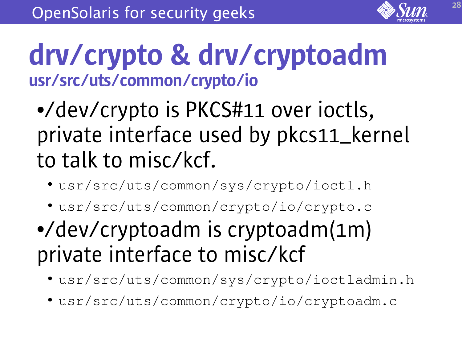

#### drv/crypto & drv/cryptoadm usr/src/uts/common/crypto/io

#### ●/dev/crypto is PKCS#11 over ioctls, private interface used by pkcs11\_kernel to talk to misc/kcf.

- usr/src/uts/common/sys/crypto/ioctl.h
- usr/src/uts/common/crypto/io/crypto.c

#### ●/dev/cryptoadm is cryptoadm(1m) private interface to misc/kcf

- usr/src/uts/common/sys/crypto/ioctladmin.h
- usr/src/uts/common/crypto/io/cryptoadm.c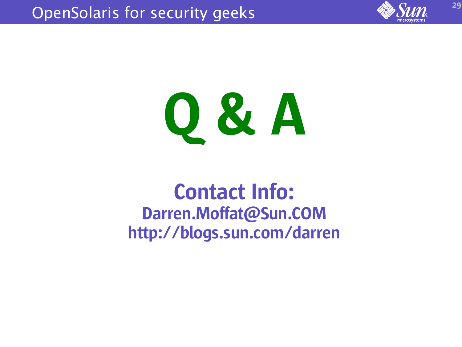



#### Contact Info: Darren.Moffat@Sun.COM http://blogs.sun.com/darren